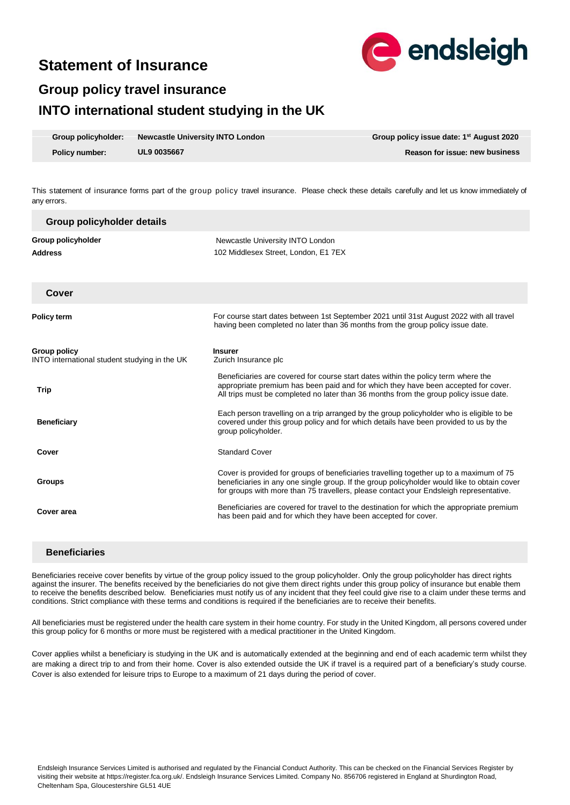# **Statement of Insurance**



# **Group policy travel insurance INTO international student studying in the UK**

| Group policyholder: | <b>Newcastle University INTO London</b> | Group policy issue date: 1 <sup>st</sup> August 2020 |
|---------------------|-----------------------------------------|------------------------------------------------------|
| Policy number:      | <b>UL9 0035667</b>                      | Reason for issue: new business                       |

This statement of insurance forms part of the group policy travel insurance. Please check these details carefully and let us know immediately of any errors.

| Group policyholder details                                           |                                                                                                                                                                                                                                                                                  |
|----------------------------------------------------------------------|----------------------------------------------------------------------------------------------------------------------------------------------------------------------------------------------------------------------------------------------------------------------------------|
| Group policyholder<br><b>Address</b>                                 | Newcastle University INTO London<br>102 Middlesex Street, London, E1 7EX                                                                                                                                                                                                         |
| Cover                                                                |                                                                                                                                                                                                                                                                                  |
| <b>Policy term</b>                                                   | For course start dates between 1st September 2021 until 31st August 2022 with all travel<br>having been completed no later than 36 months from the group policy issue date.                                                                                                      |
| <b>Group policy</b><br>INTO international student studying in the UK | <b>Insurer</b><br>Zurich Insurance plc                                                                                                                                                                                                                                           |
| <b>Trip</b>                                                          | Beneficiaries are covered for course start dates within the policy term where the<br>appropriate premium has been paid and for which they have been accepted for cover.<br>All trips must be completed no later than 36 months from the group policy issue date.                 |
| <b>Beneficiary</b>                                                   | Each person travelling on a trip arranged by the group policyholder who is eligible to be<br>covered under this group policy and for which details have been provided to us by the<br>group policyholder.                                                                        |
| Cover                                                                | <b>Standard Cover</b>                                                                                                                                                                                                                                                            |
| <b>Groups</b>                                                        | Cover is provided for groups of beneficiaries travelling together up to a maximum of 75<br>beneficiaries in any one single group. If the group policyholder would like to obtain cover<br>for groups with more than 75 travellers, please contact your Endsleigh representative. |
| Cover area                                                           | Beneficiaries are covered for travel to the destination for which the appropriate premium<br>has been paid and for which they have been accepted for cover.                                                                                                                      |

## **Beneficiaries**

Beneficiaries receive cover benefits by virtue of the group policy issued to the group policyholder. Only the group policyholder has direct rights against the insurer. The benefits received by the beneficiaries do not give them direct rights under this group policy of insurance but enable them to receive the benefits described below. Beneficiaries must notify us of any incident that they feel could give rise to a claim under these terms and conditions. Strict compliance with these terms and conditions is required if the beneficiaries are to receive their benefits.

All beneficiaries must be registered under the health care system in their home country. For study in the United Kingdom, all persons covered under this group policy for 6 months or more must be registered with a medical practitioner in the United Kingdom.

Cover applies whilst a beneficiary is studying in the UK and is automatically extended at the beginning and end of each academic term whilst they are making a direct trip to and from their home. Cover is also extended outside the UK if travel is a required part of a beneficiary's study course. Cover is also extended for leisure trips to Europe to a maximum of 21 days during the period of cover.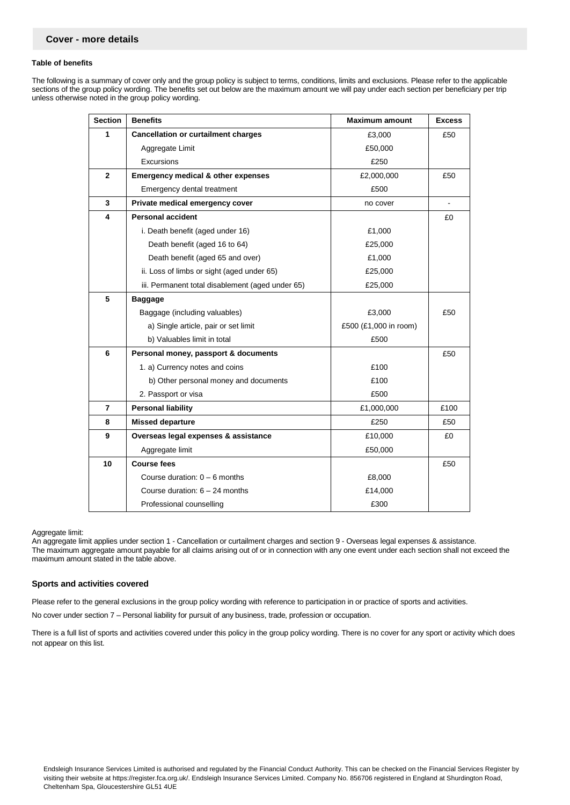#### **Table of benefits**

The following is a summary of cover only and the group policy is subject to terms, conditions, limits and exclusions. Please refer to the applicable sections of the group policy wording. The benefits set out below are the maximum amount we will pay under each section per beneficiary per trip unless otherwise noted in the group policy wording.

| <b>Section</b> | <b>Benefits</b>                                  | <b>Maximum amount</b> | <b>Excess</b> |
|----------------|--------------------------------------------------|-----------------------|---------------|
| 1              | <b>Cancellation or curtailment charges</b>       | £3,000                | £50           |
|                | Aggregate Limit                                  | £50,000               |               |
|                | Excursions                                       | £250                  |               |
| $\mathbf{2}$   | <b>Emergency medical &amp; other expenses</b>    | £2,000,000            | £50           |
|                | Emergency dental treatment                       | £500                  |               |
| 3              | Private medical emergency cover                  | no cover              |               |
| 4              | <b>Personal accident</b>                         |                       | £0            |
|                | i. Death benefit (aged under 16)                 | £1,000                |               |
|                | Death benefit (aged 16 to 64)                    | £25,000               |               |
|                | Death benefit (aged 65 and over)                 | £1,000                |               |
|                | ii. Loss of limbs or sight (aged under 65)       | £25,000               |               |
|                | iii. Permanent total disablement (aged under 65) | £25,000               |               |
| 5              | <b>Baggage</b>                                   |                       |               |
|                | Baggage (including valuables)                    | £3,000                | £50           |
|                | a) Single article, pair or set limit             | £500 (£1,000 in room) |               |
|                | b) Valuables limit in total                      | £500                  |               |
| 6              | Personal money, passport & documents             |                       | £50           |
|                | 1. a) Currency notes and coins                   | £100                  |               |
|                | b) Other personal money and documents<br>£100    |                       |               |
|                | 2. Passport or visa                              | £500                  |               |
| 7              | <b>Personal liability</b>                        | £1,000,000            | £100          |
| 8              | <b>Missed departure</b>                          | £250                  | £50           |
| 9              | Overseas legal expenses & assistance             | £10,000               | £0            |
|                | Aggregate limit                                  | £50,000               |               |
| 10             | <b>Course fees</b>                               |                       | £50           |
|                | Course duration: $0 - 6$ months                  | £8,000                |               |
|                | Course duration: $6 - 24$ months                 | £14,000               |               |
|                | Professional counselling                         | £300                  |               |

#### Aggregate limit:

An aggregate limit applies under section 1 - Cancellation or curtailment charges and section 9 - Overseas legal expenses & assistance. The maximum aggregate amount payable for all claims arising out of or in connection with any one event under each section shall not exceed the maximum amount stated in the table above.

#### **Sports and activities covered**

Please refer to the general exclusions in the group policy wording with reference to participation in or practice of sports and activities.

No cover under section 7 – Personal liability for pursuit of any business, trade, profession or occupation.

There is a full list of sports and activities covered under this policy in the group policy wording. There is no cover for any sport or activity which does not appear on this list.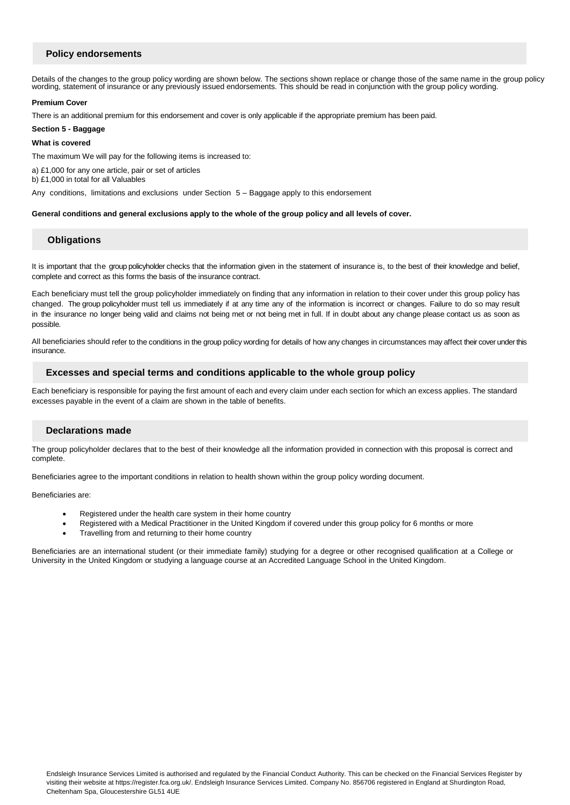## **Policy endorsements**

Details of the changes to the group policy wording are shown below. The sections shown replace or change those of the same name in the group policy wording, statement of insurance or any previously issued endorsements. This should be read in conjunction with the group policy wording.

## **Premium Cover**

There is an additional premium for this endorsement and cover is only applicable if the appropriate premium has been paid.

#### **Section 5 - Baggage**

## **What is covered**

The maximum We will pay for the following items is increased to:

a) £1,000 for any one article, pair or set of articles

b) £1,000 in total for all Valuables

Any conditions, limitations and exclusions under Section 5 – Baggage apply to this endorsement

## **General conditions and general exclusions apply to the whole of the group policy and all levels of cover.**

## **Obligations**

It is important that the group policyholder checks that the information given in the statement of insurance is, to the best of their knowledge and belief, complete and correct as this forms the basis of the insurance contract.

Each beneficiary must tell the group policyholder immediately on finding that any information in relation to their cover under this group policy has changed. The group policyholder must tell us immediately if at any time any of the information is incorrect or changes. Failure to do so may result in the insurance no longer being valid and claims not being met or not being met in full. If in doubt about any change please contact us as soon as possible.

All beneficiaries should refer to the conditions in the group policy wording for details of how any changes in circumstances may affect their cover under this insurance.

## **Excesses and special terms and conditions applicable to the whole group policy**

Each beneficiary is responsible for paying the first amount of each and every claim under each section for which an excess applies. The standard excesses payable in the event of a claim are shown in the table of benefits.

## **Declarations made**

The group policyholder declares that to the best of their knowledge all the information provided in connection with this proposal is correct and complete.

Beneficiaries agree to the important conditions in relation to health shown within the group policy wording document.

Beneficiaries are:

- Registered under the health care system in their home country
- Registered with a Medical Practitioner in the United Kingdom if covered under this group policy for 6 months or more
- Travelling from and returning to their home country

Beneficiaries are an international student (or their immediate family) studying for a degree or other recognised qualification at a College or University in the United Kingdom or studying a language course at an Accredited Language School in the United Kingdom.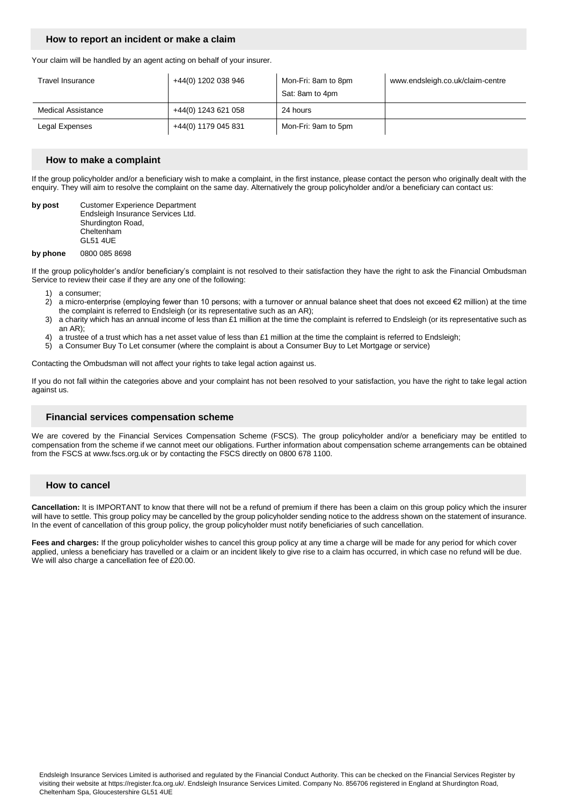## **How to report an incident or make a claim**

Your claim will be handled by an agent acting on behalf of your insurer.

| Travel Insurance          | +44(0) 1202 038 946 | Mon-Fri: 8am to 8pm<br>Sat: 8am to 4pm | www.endsleigh.co.uk/claim-centre |
|---------------------------|---------------------|----------------------------------------|----------------------------------|
| <b>Medical Assistance</b> | +44(0) 1243 621 058 | 24 hours                               |                                  |
| Legal Expenses            | +44(0) 1179 045 831 | Mon-Fri: 9am to 5pm                    |                                  |

#### **How to make a complaint**

If the group policyholder and/or a beneficiary wish to make a complaint, in the first instance, please contact the person who originally dealt with the enquiry. They will aim to resolve the complaint on the same day. Alternatively the group policyholder and/or a beneficiary can contact us:

**by post Customer Experience Department** Endsleigh Insurance Services Ltd. Shurdington Road, Cheltenham GL51 4UE

#### **by phone** 0800 085 8698

If the group policyholder's and/or beneficiary's complaint is not resolved to their satisfaction they have the right to ask the Financial Ombudsman Service to review their case if they are any one of the following:

- 
- 1) a consumer;<br>2) a micro-ente 2) a micro-enterprise (employing fewer than 10 persons; with a turnover or annual balance sheet that does not exceed €2 million) at the time the complaint is referred to Endsleigh (or its representative such as an AR);
- 3) a charity which has an annual income of less than £1 million at the time the complaint is referred to Endsleigh (or its representative such as an AR);
- 4) a trustee of a trust which has a net asset value of less than £1 million at the time the complaint is referred to Endsleigh;
- 5) a Consumer Buy To Let consumer (where the complaint is about a Consumer Buy to Let Mortgage or service)

Contacting the Ombudsman will not affect your rights to take legal action against us.

If you do not fall within the categories above and your complaint has not been resolved to your satisfaction, you have the right to take legal action against us.

## **Financial services compensation scheme**

We are covered by the Financial Services Compensation Scheme (FSCS). The group policyholder and/or a beneficiary may be entitled to compensation from the scheme if we cannot meet our obligations. Further information about compensation scheme arrangements can be obtained from the FSCS at www.fscs.org.uk or by contacting the FSCS directly on 0800 678 1100.

## **How to cancel**

**Cancellation:** It is IMPORTANT to know that there will not be a refund of premium if there has been a claim on this group policy which the insurer will have to settle. This group policy may be cancelled by the group policyholder sending notice to the address shown on the statement of insurance. In the event of cancellation of this group policy, the group policyholder must notify beneficiaries of such cancellation.

**Fees and charges:** If the group policyholder wishes to cancel this group policy at any time a charge will be made for any period for which cover applied, unless a beneficiary has travelled or a claim or an incident likely to give rise to a claim has occurred, in which case no refund will be due. We will also charge a cancellation fee of £20.00.